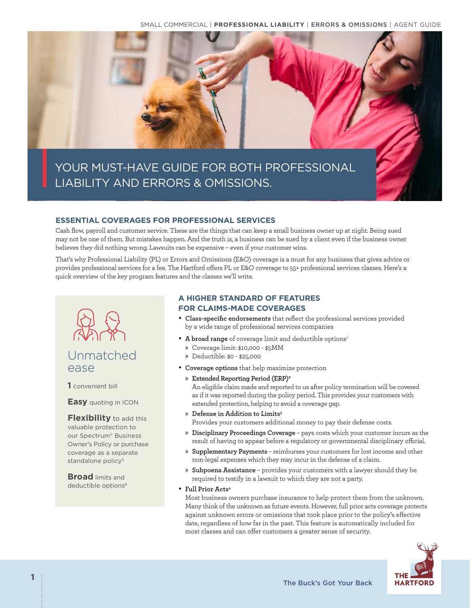

YOUR MUST-HAVE GUIDE FOR BOTH PROFESSIONAL LIABILITY AND ERRORS & OMISSIONS.

## **ESSENTIAL COVERAGES FOR PROFESSIONAL SERVICES**

Cash flow, payroll and customer service. These are the things that can keep a small business owner up at night. Being sued may not be one of them. But mistakes happen. And the truth is, a business can be sued by a client even if the business owner believes they did nothing wrong. Lawsuits can be expensive – even if your customer wins.

That's why Professional Liability (PL) or Errors and Omissions (E&O) coverage is a must for any business that gives advice or provides professional services for a fee. The Hartford offers PL or E&O coverage to 55+ professional services classes. Here's a quick overview of the key program features and the classes we'll write.



# Unmatched ease

**1** convenient bill

### **Easy** quoting in ICON

**Flexibility** to add this valuable protection to our Spectrum® Business Owner's Policy or purchase coverage as a separate standalone policy<sup>5</sup>

**Broad** limits and deductible options<sup>6</sup>

## **A HIGHER STANDARD OF FEATURES FOR CLAIMS-MADE COVERAGES**

- **Class-specific endorsements** that reflect the professional services provided by a wide range of professional services companies
- A broad range of coverage limit and deductible options<sup>1</sup>
	- » Coverage limit: \$10,000 \$5MM
	- » Deductible: \$0 \$25,000
- **Coverage options** that help maximize protection

# » **Extended Reporting Period (ERP)2**

An eligible claim made and reported to us after policy termination will be covered as if it was reported during the policy period. This provides your customers with extended protection, helping to avoid a coverage gap.

» **Defense in Addition to Limits3**

Provides your customers additional money to pay their defense costs.

- » **Disciplinary Proceedings Coverage** pays costs which your customer incurs as the result of having to appear before a regulatory or governmental disciplinary official.
- » **Supplementary Payments** reimburses your customers for lost income and other non-legal expenses which they may incur in the defense of a claim.
- » **Subpoena Assistance** provides your customers with a lawyer should they be required to testify in a lawsuit to which they are not a party.

### • **Full Prior Acts4**

Most business owners purchase insurance to help protect them from the unknown. Many think of the unknown as future events. However, full prior acts coverage protects against unknown errors or omissions that took place prior to the policy's effective date, regardless of how far in the past. This feature is automatically included for most classes and can offer customers a greater sense of security.